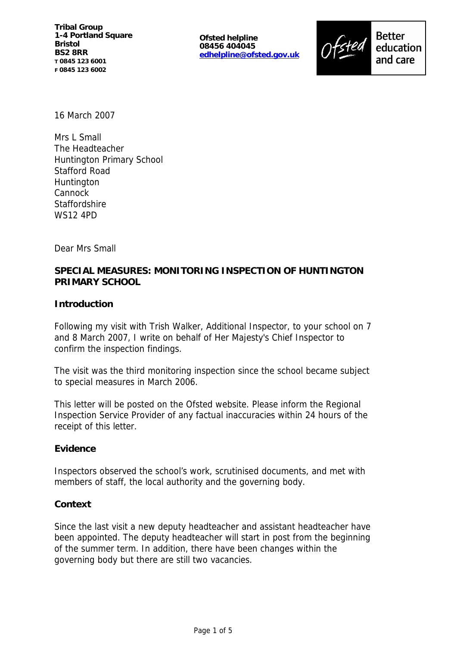**Ofsted helpline 08456 404045 edhelpline@ofsted.gov.uk**



education and care

16 March 2007

Mrs L Small The Headteacher Huntington Primary School Stafford Road **Huntington** Cannock **Staffordshire** WS12 4PD

Dear Mrs Small

# **SPECIAL MEASURES: MONITORING INSPECTION OF HUNTINGTON PRIMARY SCHOOL**

**Introduction**

Following my visit with Trish Walker, Additional Inspector, to your school on 7 and 8 March 2007, I write on behalf of Her Majesty's Chief Inspector to confirm the inspection findings.

The visit was the third monitoring inspection since the school became subject to special measures in March 2006.

This letter will be posted on the Ofsted website. Please inform the Regional Inspection Service Provider of any factual inaccuracies within 24 hours of the receipt of this letter.

**Evidence**

Inspectors observed the school's work, scrutinised documents, and met with members of staff, the local authority and the governing body.

## **Context**

Since the last visit a new deputy headteacher and assistant headteacher have been appointed. The deputy headteacher will start in post from the beginning of the summer term. In addition, there have been changes within the governing body but there are still two vacancies.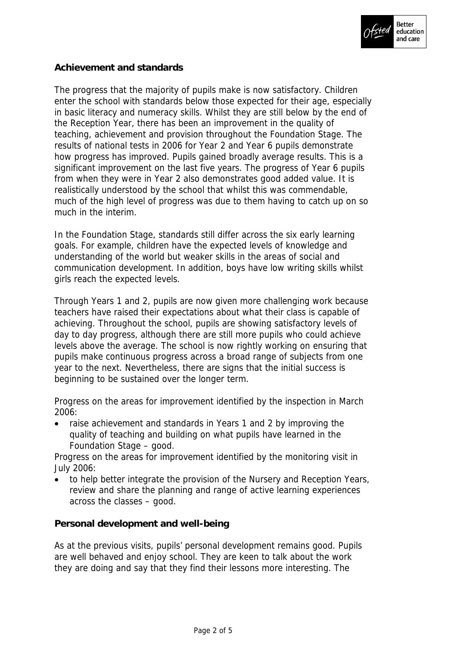

## **Achievement and standards**

The progress that the majority of pupils make is now satisfactory. Children enter the school with standards below those expected for their age, especially in basic literacy and numeracy skills. Whilst they are still below by the end of the Reception Year, there has been an improvement in the quality of teaching, achievement and provision throughout the Foundation Stage. The results of national tests in 2006 for Year 2 and Year 6 pupils demonstrate how progress has improved. Pupils gained broadly average results. This is a significant improvement on the last five years. The progress of Year 6 pupils from when they were in Year 2 also demonstrates good added value. It is realistically understood by the school that whilst this was commendable, much of the high level of progress was due to them having to catch up on so much in the interim.

In the Foundation Stage, standards still differ across the six early learning goals. For example, children have the expected levels of knowledge and understanding of the world but weaker skills in the areas of social and communication development. In addition, boys have low writing skills whilst girls reach the expected levels.

Through Years 1 and 2, pupils are now given more challenging work because teachers have raised their expectations about what their class is capable of achieving. Throughout the school, pupils are showing satisfactory levels of day to day progress, although there are still more pupils who could achieve levels above the average. The school is now rightly working on ensuring that pupils make continuous progress across a broad range of subjects from one year to the next. Nevertheless, there are signs that the initial success is beginning to be sustained over the longer term.

Progress on the areas for improvement identified by the inspection in March 2006:

 raise achievement and standards in Years 1 and 2 by improving the quality of teaching and building on what pupils have learned in the Foundation Stage – good.

Progress on the areas for improvement identified by the monitoring visit in July 2006:

 to help better integrate the provision of the Nursery and Reception Years, review and share the planning and range of active learning experiences across the classes – good.

**Personal development and well-being**

As at the previous visits, pupils' personal development remains good. Pupils are well behaved and enjoy school. They are keen to talk about the work they are doing and say that they find their lessons more interesting. The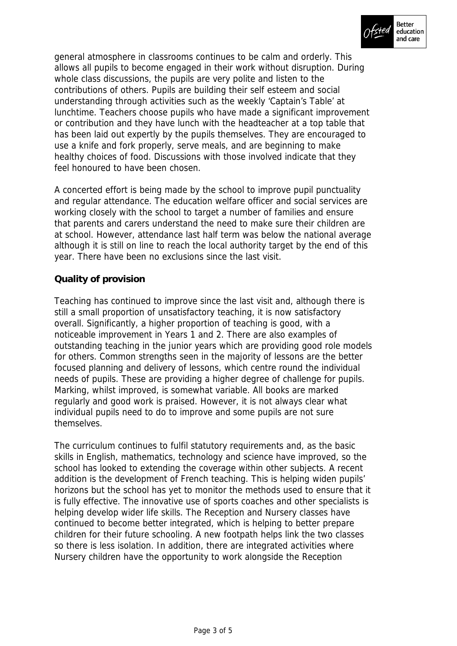

general atmosphere in classrooms continues to be calm and orderly. This allows all pupils to become engaged in their work without disruption. During whole class discussions, the pupils are very polite and listen to the contributions of others. Pupils are building their self esteem and social understanding through activities such as the weekly 'Captain's Table' at lunchtime. Teachers choose pupils who have made a significant improvement or contribution and they have lunch with the headteacher at a top table that has been laid out expertly by the pupils themselves. They are encouraged to use a knife and fork properly, serve meals, and are beginning to make healthy choices of food. Discussions with those involved indicate that they feel honoured to have been chosen.

A concerted effort is being made by the school to improve pupil punctuality and regular attendance. The education welfare officer and social services are working closely with the school to target a number of families and ensure that parents and carers understand the need to make sure their children are at school. However, attendance last half term was below the national average although it is still on line to reach the local authority target by the end of this year. There have been no exclusions since the last visit.

# **Quality of provision**

Teaching has continued to improve since the last visit and, although there is still a small proportion of unsatisfactory teaching, it is now satisfactory overall. Significantly, a higher proportion of teaching is good, with a noticeable improvement in Years 1 and 2. There are also examples of outstanding teaching in the junior years which are providing good role models for others. Common strengths seen in the majority of lessons are the better focused planning and delivery of lessons, which centre round the individual needs of pupils. These are providing a higher degree of challenge for pupils. Marking, whilst improved, is somewhat variable. All books are marked regularly and good work is praised. However, it is not always clear what individual pupils need to do to improve and some pupils are not sure themselves.

The curriculum continues to fulfil statutory requirements and, as the basic skills in English, mathematics, technology and science have improved, so the school has looked to extending the coverage within other subjects. A recent addition is the development of French teaching. This is helping widen pupils' horizons but the school has yet to monitor the methods used to ensure that it is fully effective. The innovative use of sports coaches and other specialists is helping develop wider life skills. The Reception and Nursery classes have continued to become better integrated, which is helping to better prepare children for their future schooling. A new footpath helps link the two classes so there is less isolation. In addition, there are integrated activities where Nursery children have the opportunity to work alongside the Reception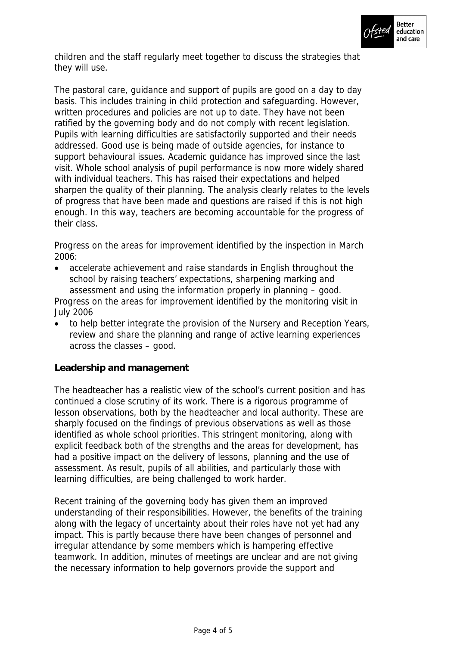

children and the staff regularly meet together to discuss the strategies that they will use.

The pastoral care, guidance and support of pupils are good on a day to day basis. This includes training in child protection and safeguarding. However, written procedures and policies are not up to date. They have not been ratified by the governing body and do not comply with recent legislation. Pupils with learning difficulties are satisfactorily supported and their needs addressed. Good use is being made of outside agencies, for instance to support behavioural issues. Academic guidance has improved since the last visit. Whole school analysis of pupil performance is now more widely shared with individual teachers. This has raised their expectations and helped sharpen the quality of their planning. The analysis clearly relates to the levels of progress that have been made and questions are raised if this is not high enough. In this way, teachers are becoming accountable for the progress of their class.

Progress on the areas for improvement identified by the inspection in March 2006:

 accelerate achievement and raise standards in English throughout the school by raising teachers' expectations, sharpening marking and assessment and using the information properly in planning – good.

Progress on the areas for improvement identified by the monitoring visit in July 2006

 to help better integrate the provision of the Nursery and Reception Years, review and share the planning and range of active learning experiences across the classes – good.

## **Leadership and management**

The headteacher has a realistic view of the school's current position and has continued a close scrutiny of its work. There is a rigorous programme of lesson observations, both by the headteacher and local authority. These are sharply focused on the findings of previous observations as well as those identified as whole school priorities. This stringent monitoring, along with explicit feedback both of the strengths and the areas for development, has had a positive impact on the delivery of lessons, planning and the use of assessment. As result, pupils of all abilities, and particularly those with learning difficulties, are being challenged to work harder.

Recent training of the governing body has given them an improved understanding of their responsibilities. However, the benefits of the training along with the legacy of uncertainty about their roles have not yet had any impact. This is partly because there have been changes of personnel and irregular attendance by some members which is hampering effective teamwork. In addition, minutes of meetings are unclear and are not giving the necessary information to help governors provide the support and